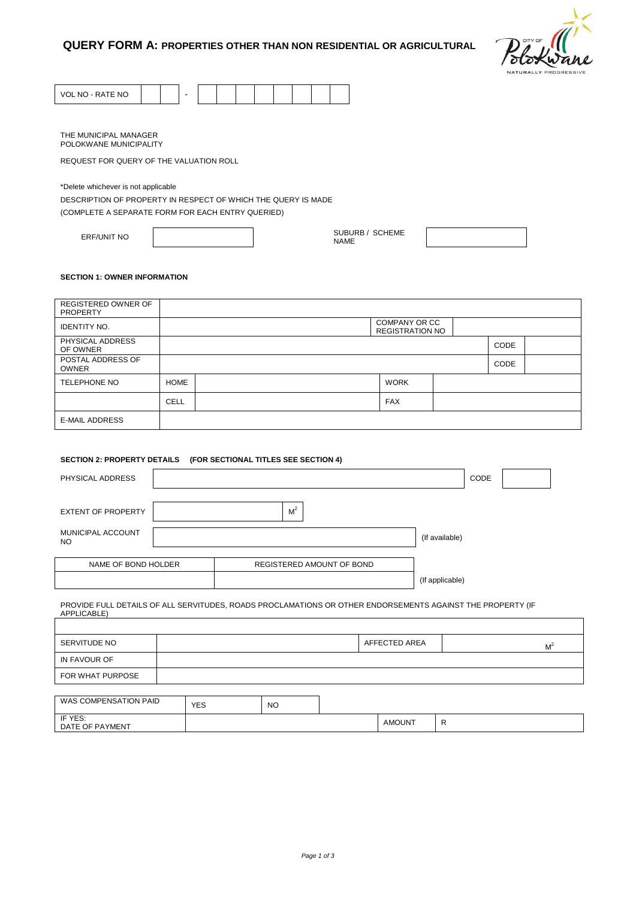

| VOL NO - RATE NO |  |  |  |  |  |  |
|------------------|--|--|--|--|--|--|

THE MUNICIPAL MANAGER POLOKWANE MUNICIPALITY

REQUEST FOR QUERY OF THE VALUATION ROLL

\*Delete whichever is not applicable

DESCRIPTION OF PROPERTY IN RESPECT OF WHICH THE QUERY IS MADE

(COMPLETE A SEPARATE FORM FOR EACH ENTRY QUERIED)

 $\overline{\phantom{a}}$ 

ERF/UNIT NO SUBURB / SCHEME

NAME

# **SECTION 1: OWNER INFORMATION**

| <b>REGISTERED OWNER OF</b><br><b>PROPERTY</b> |             |                                         |      |  |
|-----------------------------------------------|-------------|-----------------------------------------|------|--|
| <b>IDENTITY NO.</b>                           |             | COMPANY OR CC<br><b>REGISTRATION NO</b> |      |  |
| PHYSICAL ADDRESS<br>OF OWNER                  |             |                                         | CODE |  |
| POSTAL ADDRESS OF<br><b>OWNER</b>             |             |                                         | CODE |  |
| <b>TELEPHONE NO</b>                           | <b>HOME</b> | <b>WORK</b>                             |      |  |
|                                               | <b>CELL</b> | <b>FAX</b>                              |      |  |
| <b>E-MAIL ADDRESS</b>                         |             |                                         |      |  |

# **SECTION 2: PROPERTY DETAILS (FOR SECTIONAL TITLES SEE SECTION 4)**

| PHYSICAL ADDRESS          |                           | CODE            |
|---------------------------|---------------------------|-----------------|
| <b>EXTENT OF PROPERTY</b> | M <sup>2</sup>            |                 |
| MUNICIPAL ACCOUNT<br>NO.  |                           | (If available)  |
| NAME OF BOND HOLDER       | REGISTERED AMOUNT OF BOND |                 |
|                           |                           | (If applicable) |

PROVIDE FULL DETAILS OF ALL SERVITUDES, ROADS PROCLAMATIONS OR OTHER ENDORSEMENTS AGAINST THE PROPERTY (IF APPLICABLE)

| SERVITUDE NO          |            |    | AFFECTED AREA | $M^2$ |
|-----------------------|------------|----|---------------|-------|
| IN FAVOUR OF          |            |    |               |       |
| FOR WHAT PURPOSE      |            |    |               |       |
|                       |            |    |               |       |
| WAS COMPENSATION PAID | <b>YES</b> | NO |               |       |

| IF YES:<br>DATE<br>OF<br>YMENT<br>$\mathbf{v}$ |  | `)UN.<br>AMU<br>$  -$ |  |
|------------------------------------------------|--|-----------------------|--|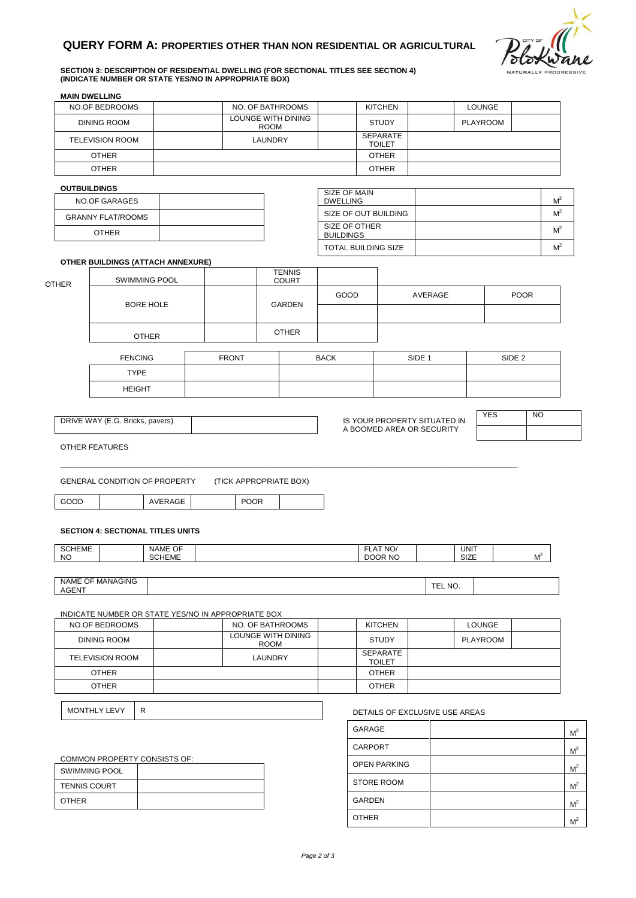

 $M^2$ 

 $M^2$ 

### **SECTION 3: DESCRIPTION OF RESIDENTIAL DWELLING (FOR SECTIONAL TITLES SEE SECTION 4) (INDICATE NUMBER OR STATE YES/NO IN APPROPRIATE BOX)**

| <b>MAIN DWELLING</b> | NO.OF BEDROOMS                           |                      |                                                    | NO. OF BATHROOMS                  |                                   | <b>KITCHEN</b>                 |         | <b>LOUNGE</b>   |                   |                |
|----------------------|------------------------------------------|----------------------|----------------------------------------------------|-----------------------------------|-----------------------------------|--------------------------------|---------|-----------------|-------------------|----------------|
|                      | <b>DINING ROOM</b>                       |                      |                                                    | <b>LOUNGE WITH DINING</b>         |                                   | <b>STUDY</b>                   |         | <b>PLAYROOM</b> |                   |                |
|                      | <b>TELEVISION ROOM</b>                   |                      |                                                    | <b>ROOM</b><br><b>LAUNDRY</b>     |                                   | SEPARATE                       |         |                 |                   |                |
|                      | <b>OTHER</b>                             |                      |                                                    |                                   |                                   | <b>TOILET</b><br><b>OTHER</b>  |         |                 |                   |                |
|                      | <b>OTHER</b>                             |                      |                                                    |                                   |                                   | <b>OTHER</b>                   |         |                 |                   |                |
| <b>OUTBUILDINGS</b>  |                                          |                      |                                                    |                                   |                                   |                                |         |                 |                   |                |
|                      | <b>NO.OF GARAGES</b>                     |                      |                                                    |                                   | SIZE OF MAIN<br><b>DWELLING</b>   |                                |         |                 |                   | M <sup>2</sup> |
|                      | <b>GRANNY FLAT/ROOMS</b>                 |                      |                                                    |                                   |                                   | SIZE OF OUT BUILDING           |         |                 |                   | M <sup>2</sup> |
|                      | <b>OTHER</b>                             |                      |                                                    |                                   | SIZE OF OTHER<br><b>BUILDINGS</b> |                                |         |                 |                   |                |
|                      |                                          |                      |                                                    |                                   |                                   | TOTAL BUILDING SIZE            |         |                 |                   |                |
|                      | <b>OTHER BUILDINGS (ATTACH ANNEXURE)</b> |                      |                                                    |                                   |                                   |                                |         |                 |                   |                |
| <b>OTHER</b>         |                                          | <b>SWIMMING POOL</b> |                                                    | <b>TENNIS</b><br><b>COURT</b>     |                                   |                                |         |                 |                   |                |
|                      |                                          |                      |                                                    |                                   | GOOD                              |                                | AVERAGE |                 |                   | <b>POOR</b>    |
|                      |                                          | <b>BORE HOLE</b>     |                                                    | GARDEN                            |                                   |                                |         |                 |                   |                |
|                      |                                          |                      |                                                    | <b>OTHER</b>                      |                                   |                                |         |                 |                   |                |
|                      |                                          | <b>OTHER</b>         |                                                    |                                   |                                   |                                |         |                 |                   |                |
|                      | <b>FENCING</b>                           |                      | <b>FRONT</b>                                       |                                   | <b>BACK</b>                       |                                | SIDE 1  |                 | SIDE <sub>2</sub> |                |
|                      | <b>TYPE</b>                              |                      |                                                    |                                   |                                   |                                |         |                 |                   |                |
|                      | <b>HEIGHT</b>                            |                      |                                                    |                                   |                                   |                                |         |                 |                   |                |
|                      |                                          |                      |                                                    |                                   |                                   |                                |         |                 |                   |                |
|                      | DRIVE WAY (E.G. Bricks, pavers)          |                      |                                                    |                                   |                                   | IS YOUR PROPERTY SITUATED IN   |         | <b>YES</b>      |                   | NO.            |
|                      |                                          |                      |                                                    |                                   |                                   | A BOOMED AREA OR SECURITY      |         |                 |                   |                |
| OTHER FEATURES       |                                          |                      |                                                    |                                   |                                   |                                |         |                 |                   |                |
| GOOD                 | <b>GENERAL CONDITION OF PROPERTY</b>     | AVERAGE              | <b>POOR</b>                                        | (TICK APPROPRIATE BOX)            |                                   |                                |         |                 |                   |                |
|                      |                                          |                      |                                                    |                                   |                                   |                                |         |                 |                   |                |
|                      | <b>SECTION 4: SECTIONAL TITLES UNITS</b> |                      |                                                    |                                   |                                   |                                |         |                 |                   |                |
| <b>SCHEME</b>        |                                          | <b>NAME OF</b>       |                                                    |                                   |                                   | FLAT NO/                       |         | <b>UNIT</b>     |                   |                |
| <b>NO</b>            |                                          | <b>SCHEME</b>        |                                                    |                                   |                                   | DOOR NO                        |         | SIZE            |                   | M <sup>2</sup> |
|                      | NAME OF MANAGING                         |                      |                                                    |                                   |                                   |                                |         |                 |                   |                |
| AGENT                |                                          |                      |                                                    |                                   |                                   |                                | TEL NO. |                 |                   |                |
|                      |                                          |                      | INDICATE NUMBER OR STATE YES/NO IN APPROPRIATE BOX |                                   |                                   |                                |         |                 |                   |                |
|                      | <b>NO.OF BEDROOMS</b>                    |                      |                                                    | NO. OF BATHROOMS                  |                                   | <b>KITCHEN</b>                 |         | <b>LOUNGE</b>   |                   |                |
|                      | <b>DINING ROOM</b>                       |                      |                                                    | LOUNGE WITH DINING<br><b>ROOM</b> |                                   | <b>STUDY</b>                   |         | <b>PLAYROOM</b> |                   |                |
|                      | <b>TELEVISION ROOM</b>                   |                      |                                                    | LAUNDRY                           |                                   | SEPARATE<br><b>TOILET</b>      |         |                 |                   |                |
|                      | <b>OTHER</b>                             |                      |                                                    |                                   |                                   | <b>OTHER</b>                   |         |                 |                   |                |
|                      | <b>OTHER</b>                             |                      |                                                    |                                   |                                   | <b>OTHER</b>                   |         |                 |                   |                |
|                      | MONTHLY LEVY<br>R                        |                      |                                                    |                                   |                                   | DETAILS OF EXCLUSIVE USE AREAS |         |                 |                   |                |
|                      |                                          |                      |                                                    |                                   |                                   | GARAGE                         |         |                 |                   |                |
|                      |                                          |                      |                                                    |                                   |                                   | CARPORT                        |         |                 |                   |                |
|                      | COMMON PROPERTY CONSISTS OF:             |                      |                                                    |                                   |                                   | <b>OPEN PARKING</b>            |         |                 |                   |                |
| <b>TENNIS COURT</b>  | <b>SWIMMING POOL</b>                     |                      |                                                    |                                   |                                   | <b>STORE ROOM</b>              |         |                 |                   |                |

OTHER